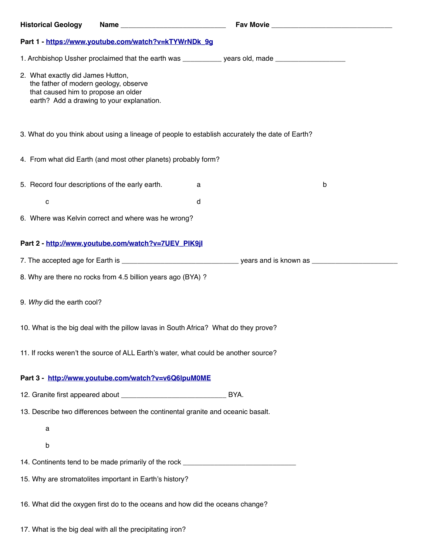| <b>Historical Geology</b>                                                                                                                                      | Name and the state of the state of the state of the state of the state of the state of the state of the state |                                                                                                     |   |  |
|----------------------------------------------------------------------------------------------------------------------------------------------------------------|---------------------------------------------------------------------------------------------------------------|-----------------------------------------------------------------------------------------------------|---|--|
| Part 1 - https://www.youtube.com/watch?v=kTYWrNDk_9g                                                                                                           |                                                                                                               |                                                                                                     |   |  |
|                                                                                                                                                                |                                                                                                               | 1. Archbishop Ussher proclaimed that the earth was ___________ years old, made ____________________ |   |  |
| 2. What exactly did James Hutton,<br>the father of modern geology, observe<br>that caused him to propose an older<br>earth? Add a drawing to your explanation. |                                                                                                               |                                                                                                     |   |  |
| 3. What do you think about using a lineage of people to establish accurately the date of Earth?                                                                |                                                                                                               |                                                                                                     |   |  |
|                                                                                                                                                                | 4. From what did Earth (and most other planets) probably form?                                                |                                                                                                     |   |  |
| 5. Record four descriptions of the early earth.                                                                                                                |                                                                                                               | a                                                                                                   | b |  |
| C                                                                                                                                                              |                                                                                                               | d                                                                                                   |   |  |
| 6. Where was Kelvin correct and where was he wrong?                                                                                                            |                                                                                                               |                                                                                                     |   |  |
| Part 2 - http://www.youtube.com/watch?v=7UEV_PIK9jl                                                                                                            |                                                                                                               |                                                                                                     |   |  |
|                                                                                                                                                                |                                                                                                               |                                                                                                     |   |  |
| 8. Why are there no rocks from 4.5 billion years ago (BYA) ?                                                                                                   |                                                                                                               |                                                                                                     |   |  |
| 9. Why did the earth cool?                                                                                                                                     |                                                                                                               |                                                                                                     |   |  |
| 10. What is the big deal with the pillow lavas in South Africa? What do they prove?                                                                            |                                                                                                               |                                                                                                     |   |  |
| 11. If rocks weren't the source of ALL Earth's water, what could be another source?                                                                            |                                                                                                               |                                                                                                     |   |  |
|                                                                                                                                                                | Part 3 - http://www.youtube.com/watch?v=v6Q6lpuM0ME                                                           |                                                                                                     |   |  |
|                                                                                                                                                                |                                                                                                               | BYA.                                                                                                |   |  |
| 13. Describe two differences between the continental granite and oceanic basalt.                                                                               |                                                                                                               |                                                                                                     |   |  |
| a                                                                                                                                                              |                                                                                                               |                                                                                                     |   |  |
| b                                                                                                                                                              |                                                                                                               |                                                                                                     |   |  |
| 14. Continents tend to be made primarily of the rock ___________________________                                                                               |                                                                                                               |                                                                                                     |   |  |
| 15. Why are stromatolites important in Earth's history?                                                                                                        |                                                                                                               |                                                                                                     |   |  |
| 16. What did the oxygen first do to the oceans and how did the oceans change?                                                                                  |                                                                                                               |                                                                                                     |   |  |

17. What is the big deal with all the precipitating iron?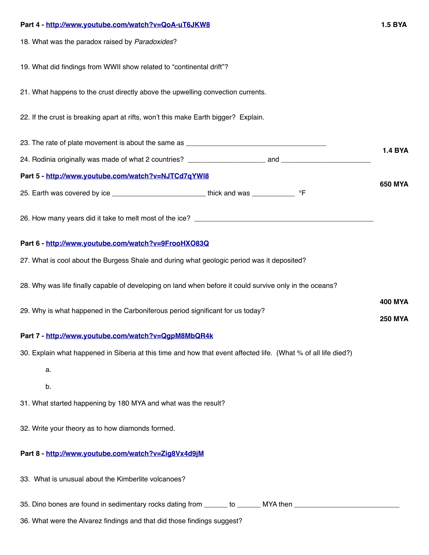| Part 4 - http://www.youtube.com/watch?v=QoA-uT6JKW8                                                            |                |  |  |  |
|----------------------------------------------------------------------------------------------------------------|----------------|--|--|--|
| 18. What was the paradox raised by Paradoxides?                                                                |                |  |  |  |
| 19. What did findings from WWII show related to "continental drift"?                                           |                |  |  |  |
| 21. What happens to the crust directly above the upwelling convection currents.                                |                |  |  |  |
| 22. If the crust is breaking apart at rifts, won't this make Earth bigger? Explain.                            |                |  |  |  |
|                                                                                                                |                |  |  |  |
|                                                                                                                | <b>1.4 BYA</b> |  |  |  |
| Part 5 - http://www.youtube.com/watch?v=NJTCd7qYWI8                                                            |                |  |  |  |
|                                                                                                                | <b>650 MYA</b> |  |  |  |
|                                                                                                                |                |  |  |  |
| Part 6 - http://www.youtube.com/watch?v=9FrooHXO83Q                                                            |                |  |  |  |
| 27. What is cool about the Burgess Shale and during what geologic period was it deposited?                     |                |  |  |  |
| 28. Why was life finally capable of developing on land when before it could survive only in the oceans?        |                |  |  |  |
| 29. Why is what happened in the Carboniferous period significant for us today?                                 |                |  |  |  |
| Part 7 - http://www.youtube.com/watch?v=QgpM8MbQR4k                                                            |                |  |  |  |
| 30. Explain what happened in Siberia at this time and how that event affected life. (What % of all life died?) |                |  |  |  |
| a.                                                                                                             |                |  |  |  |
| b.                                                                                                             |                |  |  |  |
| 31. What started happening by 180 MYA and what was the result?                                                 |                |  |  |  |
| 32. Write your theory as to how diamonds formed.                                                               |                |  |  |  |
| Part 8 - http://www.youtube.com/watch?v=Zig8Vx4d9jM                                                            |                |  |  |  |
| 33. What is unusual about the Kimberlite volcanoes?                                                            |                |  |  |  |
| 35. Dino bones are found in sedimentary rocks dating from _______ to _______ MYA then ____________________     |                |  |  |  |
| 36. What were the Alvarez findings and that did those findings suggest?                                        |                |  |  |  |